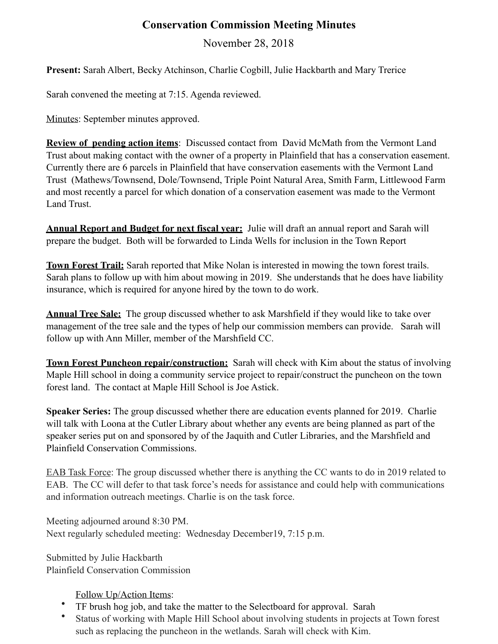## **Conservation Commission Meeting Minutes**

November 28, 2018

**Present:** Sarah Albert, Becky Atchinson, Charlie Cogbill, Julie Hackbarth and Mary Trerice

Sarah convened the meeting at 7:15. Agenda reviewed.

Minutes: September minutes approved.

**Review of pending action items**: Discussed contact from David McMath from the Vermont Land Trust about making contact with the owner of a property in Plainfield that has a conservation easement. Currently there are 6 parcels in Plainfield that have conservation easements with the Vermont Land Trust (Mathews/Townsend, Dole/Townsend, Triple Point Natural Area, Smith Farm, Littlewood Farm and most recently a parcel for which donation of a conservation easement was made to the Vermont Land Trust.

**Annual Report and Budget for next fiscal year:** Julie will draft an annual report and Sarah will prepare the budget. Both will be forwarded to Linda Wells for inclusion in the Town Report

**Town Forest Trail:** Sarah reported that Mike Nolan is interested in mowing the town forest trails. Sarah plans to follow up with him about mowing in 2019. She understands that he does have liability insurance, which is required for anyone hired by the town to do work.

**Annual Tree Sale:** The group discussed whether to ask Marshfield if they would like to take over management of the tree sale and the types of help our commission members can provide. Sarah will follow up with Ann Miller, member of the Marshfield CC.

**Town Forest Puncheon repair/construction:** Sarah will check with Kim about the status of involving Maple Hill school in doing a community service project to repair/construct the puncheon on the town forest land. The contact at Maple Hill School is Joe Astick.

**Speaker Series:** The group discussed whether there are education events planned for 2019. Charlie will talk with Loona at the Cutler Library about whether any events are being planned as part of the speaker series put on and sponsored by of the Jaquith and Cutler Libraries, and the Marshfield and Plainfield Conservation Commissions.

EAB Task Force: The group discussed whether there is anything the CC wants to do in 2019 related to EAB. The CC will defer to that task force's needs for assistance and could help with communications and information outreach meetings. Charlie is on the task force.

Meeting adjourned around 8:30 PM. Next regularly scheduled meeting: Wednesday December19, 7:15 p.m.

Submitted by Julie Hackbarth Plainfield Conservation Commission

Follow Up/Action Items:

- TF brush hog job, and take the matter to the Selectboard for approval. Sarah
- Status of working with Maple Hill School about involving students in projects at Town forest such as replacing the puncheon in the wetlands. Sarah will check with Kim.